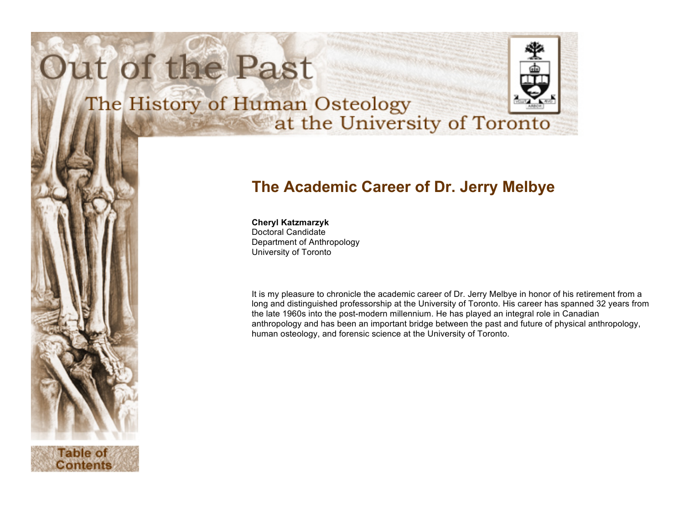# Out of the Past



## The History of Human Osteology at the University of Toronto

### **The Academic Career of Dr. Jerry Melbye**

#### **Cheryl Katzmarzyk**

Doctoral Candidate Department of Anthropology University of Toronto

It is my pleasure to chronicle the academic career of Dr. Jerry Melbye in honor of his retirement from a long and distinguished professorship at the University of Toronto. His career has spanned 32 years from the late 1960s into the post-modern millennium. He has played an integral role in Canadian anthropology and has been an important bridge between the past and future of physical anthropology, human osteology, and forensic science at the University of Toronto.

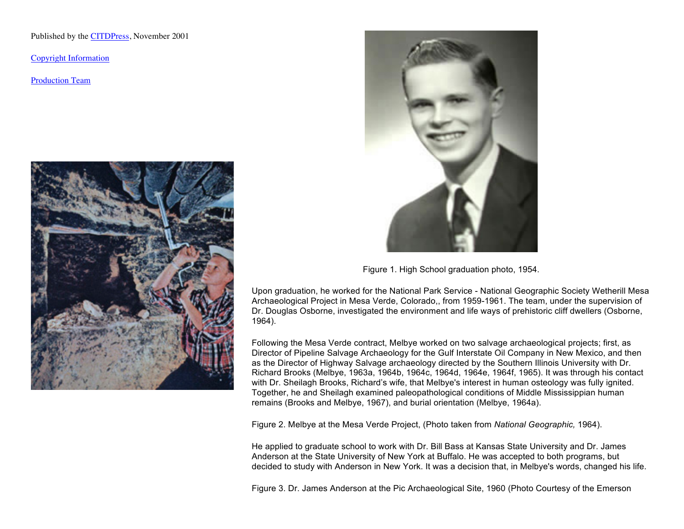Published by the CITDPress, November 2001

Copyright Information

Production Team





Figure 1. High School graduation photo, 1954.

Upon graduation, he worked for the National Park Service - National Geographic Society Wetherill Mesa Archaeological Project in Mesa Verde, Colorado,, from 1959-1961. The team, under the supervision of Dr. Douglas Osborne, investigated the environment and life ways of prehistoric cliff dwellers (Osborne, 1964).

Following the Mesa Verde contract, Melbye worked on two salvage archaeological projects; first, as Director of Pipeline Salvage Archaeology for the Gulf Interstate Oil Company in New Mexico, and then as the Director of Highway Salvage archaeology directed by the Southern Illinois University with Dr. Richard Brooks (Melbye, 1963a, 1964b, 1964c, 1964d, 1964e, 1964f, 1965). It was through his contact with Dr. Sheilagh Brooks, Richard's wife, that Melbye's interest in human osteology was fully ignited. Together, he and Sheilagh examined paleopathological conditions of Middle Mississippian human remains (Brooks and Melbye, 1967), and burial orientation (Melbye, 1964a).

Figure 2. Melbye at the Mesa Verde Project, (Photo taken from *National Geographic,* 1964).

He applied to graduate school to work with Dr. Bill Bass at Kansas State University and Dr. James Anderson at the State University of New York at Buffalo. He was accepted to both programs, but decided to study with Anderson in New York. It was a decision that, in Melbye's words, changed his life.

Figure 3. Dr. James Anderson at the Pic Archaeological Site, 1960 (Photo Courtesy of the Emerson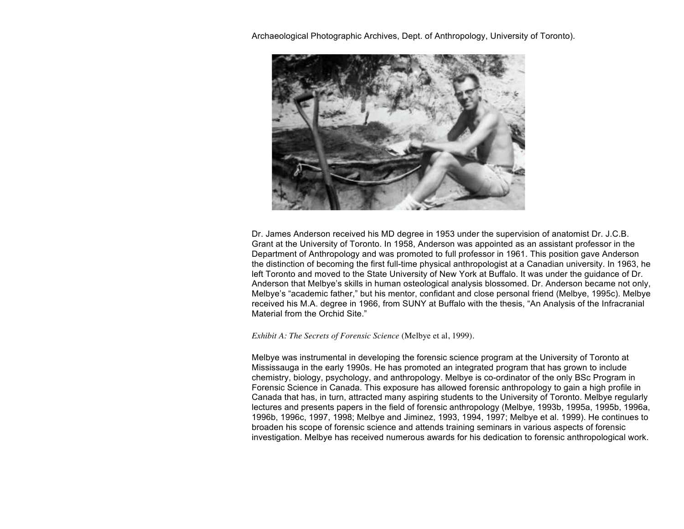Archaeological Photographic Archives, Dept. of Anthropology, University of Toronto).



Dr. James Anderson received his MD degree in 1953 under the supervision of anatomist Dr. J.C.B. Grant at the University of Toronto. In 1958, Anderson was appointed as an assistant professor in the Department of Anthropology and was promoted to full professor in 1961. This position gave Anderson the distinction of becoming the first full-time physical anthropologist at a Canadian university. In 1963, he left Toronto and moved to the State University of New York at Buffalo. It was under the guidance of Dr. Anderson that Melbye's skills in human osteological analysis blossomed. Dr. Anderson became not only, Melbye's "academic father," but his mentor, confidant and close personal friend (Melbye, 1995c). Melbye received his M.A. degree in 1966, from SUNY at Buffalo with the thesis, "An Analysis of the Infracranial Material from the Orchid Site."

*Exhibit A: The Secrets of Forensic Science* (Melbye et al, 1999).

Melbye was instrumental in developing the forensic science program at the University of Toronto at Mississauga in the early 1990s. He has promoted an integrated program that has grown to include chemistry, biology, psychology, and anthropology. Melbye is co-ordinator of the only BSc Program in Forensic Science in Canada. This exposure has allowed forensic anthropology to gain a high profile in Canada that has, in turn, attracted many aspiring students to the University of Toronto. Melbye regularly lectures and presents papers in the field of forensic anthropology (Melbye, 1993b, 1995a, 1995b, 1996a, 1996b, 1996c, 1997, 1998; Melbye and Jiminez, 1993, 1994, 1997; Melbye et al. 1999). He continues to broaden his scope of forensic science and attends training seminars in various aspects of forensic investigation. Melbye has received numerous awards for his dedication to forensic anthropological work.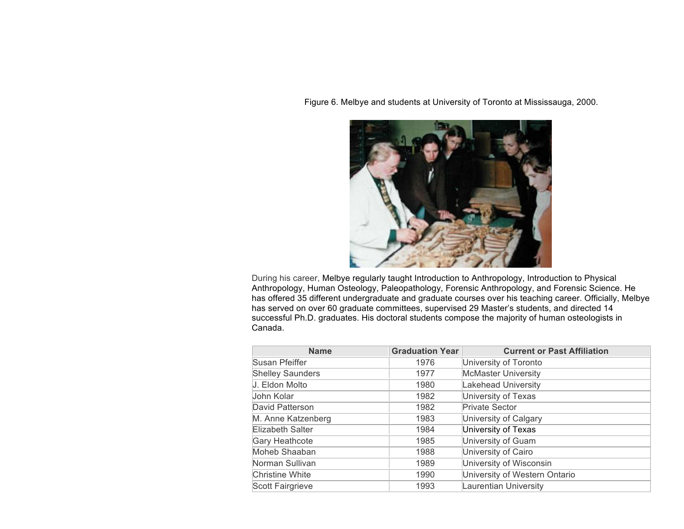Figure 6. Melbye and students at University of Toronto at Mississauga, 2000.



During his career, Melbye regularly taught Introduction to Anthropology, Introduction to Physical Anthropology, Human Osteology, Paleopathology, Forensic Anthropology, and Forensic Science. He has offered 35 different undergraduate and graduate courses over his teaching career. Officially, Melbye has served on over 60 graduate committees, supervised 29 Master's students, and directed 14 successful Ph.D. graduates. His doctoral students compose the majority of human osteologists in Canada.

| <b>Name</b>             | <b>Graduation Year</b> | <b>Current or Past Affiliation</b> |
|-------------------------|------------------------|------------------------------------|
| Susan Pfeiffer          | 1976                   | University of Toronto              |
| <b>Shelley Saunders</b> | 1977                   | <b>McMaster University</b>         |
| J. Eldon Molto          | 1980                   | Lakehead University                |
| John Kolar              | 1982                   | University of Texas                |
| David Patterson         | 1982                   | <b>Private Sector</b>              |
| M. Anne Katzenberg      | 1983                   | University of Calgary              |
| Elizabeth Salter        | 1984                   | University of Texas                |
| Gary Heathcote          | 1985                   | University of Guam                 |
| Moheb Shaaban           | 1988                   | University of Cairo                |
| Norman Sullivan         | 1989                   | University of Wisconsin            |
| <b>Christine White</b>  | 1990                   | University of Western Ontario      |
| Scott Fairgrieve        | 1993                   | Laurentian University              |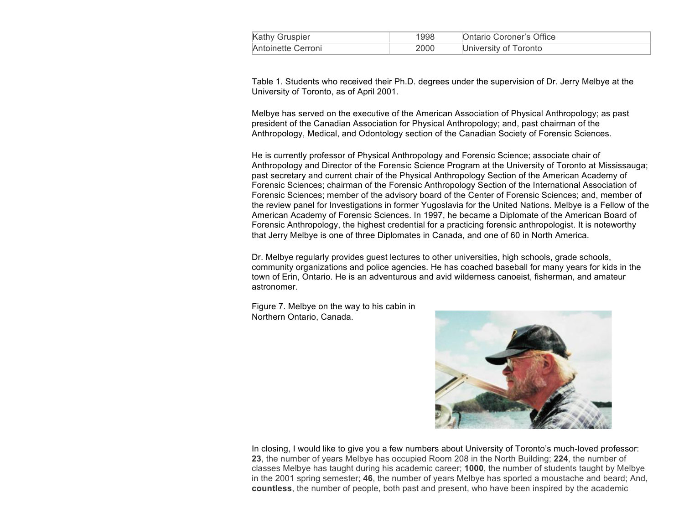| Kathy Gruspier     | 1998 | Ontario Coroner's Office |
|--------------------|------|--------------------------|
| Antoinette Cerroni | 2000 | University of Toronto    |

Table 1. Students who received their Ph.D. degrees under the supervision of Dr. Jerry Melbye at the University of Toronto, as of April 2001.

Melbye has served on the executive of the American Association of Physical Anthropology; as past president of the Canadian Association for Physical Anthropology; and, past chairman of the Anthropology, Medical, and Odontology section of the Canadian Society of Forensic Sciences.

He is currently professor of Physical Anthropology and Forensic Science; associate chair of Anthropology and Director of the Forensic Science Program at the University of Toronto at Mississauga; past secretary and current chair of the Physical Anthropology Section of the American Academy of Forensic Sciences; chairman of the Forensic Anthropology Section of the International Association of Forensic Sciences; member of the advisory board of the Center of Forensic Sciences; and, member of the review panel for Investigations in former Yugoslavia for the United Nations. Melbye is a Fellow of the American Academy of Forensic Sciences. In 1997, he became a Diplomate of the American Board of Forensic Anthropology, the highest credential for a practicing forensic anthropologist. It is noteworthy that Jerry Melbye is one of three Diplomates in Canada, and one of 60 in North America.

Dr. Melbye regularly provides guest lectures to other universities, high schools, grade schools, community organizations and police agencies. He has coached baseball for many years for kids in the town of Erin, Ontario. He is an adventurous and avid wilderness canoeist, fisherman, and amateur astronomer.

Figure 7. Melbye on the way to his cabin in Northern Ontario, Canada.



In closing, I would like to give you a few numbers about University of Toronto's much-loved professor: **23**, the number of years Melbye has occupied Room 208 in the North Building; **224**, the number of classes Melbye has taught during his academic career; **1000**, the number of students taught by Melbye in the 2001 spring semester; **46**, the number of years Melbye has sported a moustache and beard; And, **countless**, the number of people, both past and present, who have been inspired by the academic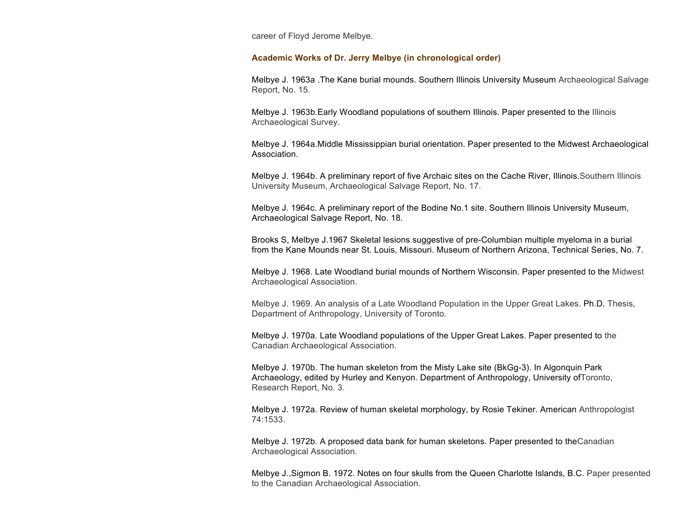career of Floyd Jerome Melbye.

#### **Academic Works of Dr. Jerry Melbye (in chronological order)**

Melbye J. 1963a .The Kane burial mounds. Southern Illinois University Museum Archaeological Salvage Report, No. 15.

Melbye J. 1963b.Early Woodland populations of southern Illinois. Paper presented to the Illinois Archaeological Survey.

Melbye J. 1964a.Middle Mississippian burial orientation. Paper presented to the Midwest Archaeological Association.

Melbye J. 1964b. A preliminary report of five Archaic sites on the Cache River, Illinois.Southern Illinois University Museum, Archaeological Salvage Report, No. 17.

Melbye J. 1964c. A preliminary report of the Bodine No.1 site. Southern Illinois University Museum, Archaeological Salvage Report, No. 18.

Brooks S, Melbye J.1967 Skeletal lesions suggestive of pre-Columbian multiple myeloma in a burial from the Kane Mounds near St. Louis, Missouri. Museum of Northern Arizona, Technical Series, No. 7.

Melbye J. 1968. Late Woodland burial mounds of Northern Wisconsin. Paper presented to the Midwest Archaeological Association.

Melbye J. 1969. An analysis of a Late Woodland Population in the Upper Great Lakes. Ph.D. Thesis, Department of Anthropology, University of Toronto.

Melbye J. 1970a. Late Woodland populations of the Upper Great Lakes. Paper presented to the Canadian Archaeological Association.

Melbye J. 1970b. The human skeleton from the Misty Lake site (BkGg-3). In Algonquin Park Archaeology, edited by Hurley and Kenyon. Department of Anthropology, University ofToronto, Research Report, No. 3.

Melbye J. 1972a. Review of human skeletal morphology, by Rosie Tekiner. American Anthropologist 74:1533.

Melbye J. 1972b. A proposed data bank for human skeletons. Paper presented to theCanadian Archaeological Association.

Melbye J.,Sigmon B. 1972. Notes on four skulls from the Queen Charlotte Islands, B.C. Paper presented to the Canadian Archaeological Association.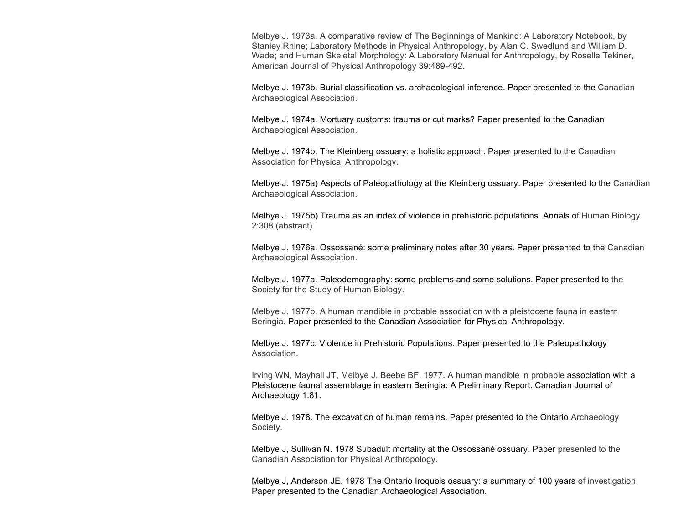Melbye J. 1973a. A comparative review of The Beginnings of Mankind: A Laboratory Notebook, by Stanley Rhine; Laboratory Methods in Physical Anthropology, by Alan C. Swedlund and William D. Wade; and Human Skeletal Morphology: A Laboratory Manual for Anthropology, by Roselle Tekiner, American Journal of Physical Anthropology 39:489-492.

Melbye J. 1973b. Burial classification vs. archaeological inference. Paper presented to the Canadian Archaeological Association.

Melbye J. 1974a. Mortuary customs: trauma or cut marks? Paper presented to the Canadian Archaeological Association.

Melbye J. 1974b. The Kleinberg ossuary: a holistic approach. Paper presented to the Canadian Association for Physical Anthropology.

Melbye J. 1975a) Aspects of Paleopathology at the Kleinberg ossuary. Paper presented to the Canadian Archaeological Association.

Melbye J. 1975b) Trauma as an index of violence in prehistoric populations. Annals of Human Biology 2:308 (abstract).

Melbye J. 1976a. Ossossané: some preliminary notes after 30 years. Paper presented to the Canadian Archaeological Association.

Melbye J. 1977a. Paleodemography: some problems and some solutions. Paper presented to the Society for the Study of Human Biology.

Melbye J. 1977b. A human mandible in probable association with a pleistocene fauna in eastern Beringia. Paper presented to the Canadian Association for Physical Anthropology.

Melbye J. 1977c. Violence in Prehistoric Populations. Paper presented to the Paleopathology Association.

Irving WN, Mayhall JT, Melbye J, Beebe BF. 1977. A human mandible in probable association with a Pleistocene faunal assemblage in eastern Beringia: A Preliminary Report. Canadian Journal of Archaeology 1:81.

Melbye J. 1978. The excavation of human remains. Paper presented to the Ontario Archaeology Society.

Melbye J, Sullivan N. 1978 Subadult mortality at the Ossossané ossuary. Paper presented to the Canadian Association for Physical Anthropology.

Melbye J, Anderson JE. 1978 The Ontario Iroquois ossuary: a summary of 100 years of investigation. Paper presented to the Canadian Archaeological Association.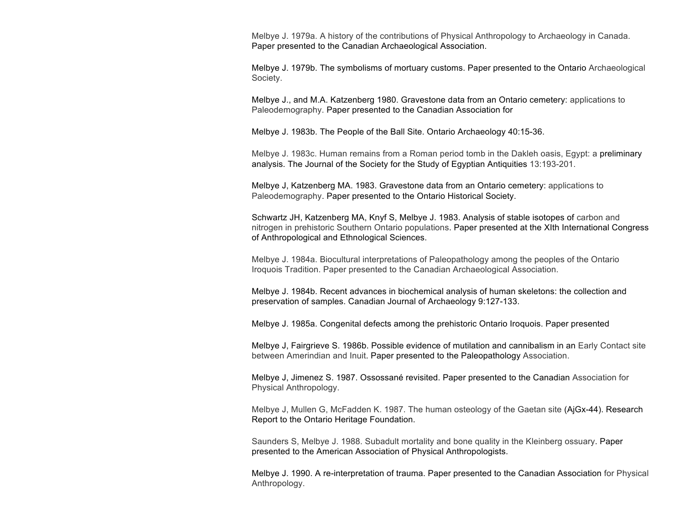Melbye J. 1979a. A history of the contributions of Physical Anthropology to Archaeology in Canada. Paper presented to the Canadian Archaeological Association.

Melbye J. 1979b. The symbolisms of mortuary customs. Paper presented to the Ontario Archaeological Society.

Melbye J., and M.A. Katzenberg 1980. Gravestone data from an Ontario cemetery: applications to Paleodemography. Paper presented to the Canadian Association for

Melbye J. 1983b. The People of the Ball Site. Ontario Archaeology 40:15-36.

Melbye J. 1983c. Human remains from a Roman period tomb in the Dakleh oasis, Egypt: a preliminary analysis. The Journal of the Society for the Study of Egyptian Antiquities 13:193-201.

Melbye J, Katzenberg MA. 1983. Gravestone data from an Ontario cemetery: applications to Paleodemography. Paper presented to the Ontario Historical Society.

Schwartz JH, Katzenberg MA, Knyf S, Melbye J. 1983. Analysis of stable isotopes of carbon and nitrogen in prehistoric Southern Ontario populations. Paper presented at the XIth International Congress of Anthropological and Ethnological Sciences.

Melbye J. 1984a. Biocultural interpretations of Paleopathology among the peoples of the Ontario Iroquois Tradition. Paper presented to the Canadian Archaeological Association.

Melbye J. 1984b. Recent advances in biochemical analysis of human skeletons: the collection and preservation of samples. Canadian Journal of Archaeology 9:127-133.

Melbye J. 1985a. Congenital defects among the prehistoric Ontario Iroquois. Paper presented

Melbye J, Fairgrieve S. 1986b. Possible evidence of mutilation and cannibalism in an Early Contact site between Amerindian and Inuit. Paper presented to the Paleopathology Association.

Melbye J, Jimenez S. 1987. Ossossané revisited. Paper presented to the Canadian Association for Physical Anthropology.

Melbye J, Mullen G, McFadden K. 1987. The human osteology of the Gaetan site (AjGx-44). Research Report to the Ontario Heritage Foundation.

Saunders S, Melbye J. 1988. Subadult mortality and bone quality in the Kleinberg ossuary. Paper presented to the American Association of Physical Anthropologists.

Melbye J. 1990. A re-interpretation of trauma. Paper presented to the Canadian Association for Physical Anthropology.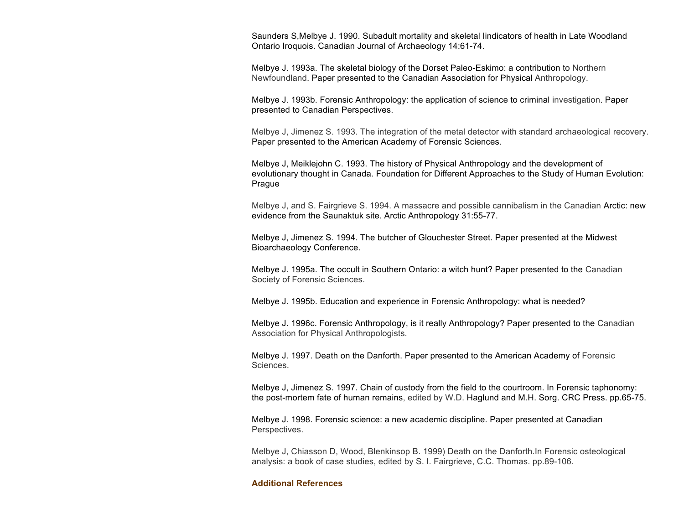Saunders S,Melbye J. 1990. Subadult mortality and skeletal Iindicators of health in Late Woodland Ontario Iroquois. Canadian Journal of Archaeology 14:61-74.

Melbye J. 1993a. The skeletal biology of the Dorset Paleo-Eskimo: a contribution to Northern Newfoundland. Paper presented to the Canadian Association for Physical Anthropology.

Melbye J. 1993b. Forensic Anthropology: the application of science to criminal investigation. Paper presented to Canadian Perspectives.

Melbye J, Jimenez S. 1993. The integration of the metal detector with standard archaeological recovery. Paper presented to the American Academy of Forensic Sciences.

Melbye J, Meiklejohn C. 1993. The history of Physical Anthropology and the development of evolutionary thought in Canada. Foundation for Different Approaches to the Study of Human Evolution: Prague

Melbye J, and S. Fairgrieve S. 1994. A massacre and possible cannibalism in the Canadian Arctic: new evidence from the Saunaktuk site. Arctic Anthropology 31:55-77.

Melbye J, Jimenez S. 1994. The butcher of Glouchester Street. Paper presented at the Midwest Bioarchaeology Conference.

Melbye J. 1995a. The occult in Southern Ontario: a witch hunt? Paper presented to the Canadian Society of Forensic Sciences.

Melbye J. 1995b. Education and experience in Forensic Anthropology: what is needed?

Melbye J. 1996c. Forensic Anthropology, is it really Anthropology? Paper presented to the Canadian Association for Physical Anthropologists.

Melbye J. 1997. Death on the Danforth. Paper presented to the American Academy of Forensic Sciences.

Melbye J, Jimenez S. 1997. Chain of custody from the field to the courtroom. In Forensic taphonomy: the post-mortem fate of human remains, edited by W.D. Haglund and M.H. Sorg. CRC Press. pp.65-75.

Melbye J. 1998. Forensic science: a new academic discipline. Paper presented at Canadian Perspectives.

Melbye J, Chiasson D, Wood, Blenkinsop B. 1999) Death on the Danforth.In Forensic osteological analysis: a book of case studies, edited by S. I. Fairgrieve, C.C. Thomas. pp.89-106.

#### **Additional References**